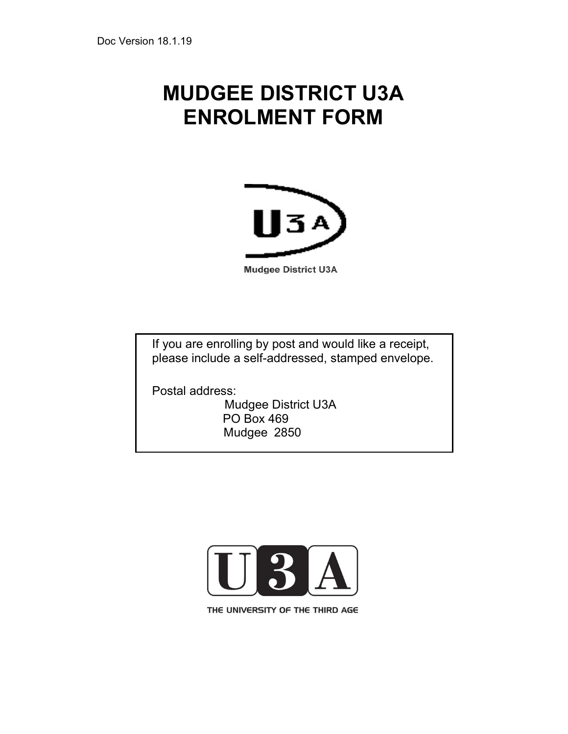# MUDGEE DISTRICT U3A ENROLMENT FORM



**Mudgee District U3A** 

If you are enrolling by post and would like a receipt, please include a self-addressed, stamped envelope.

Postal address:

Mudgee District U3A PO Box 469 Mudgee 2850



THE UNIVERSITY OF THE THIRD AGE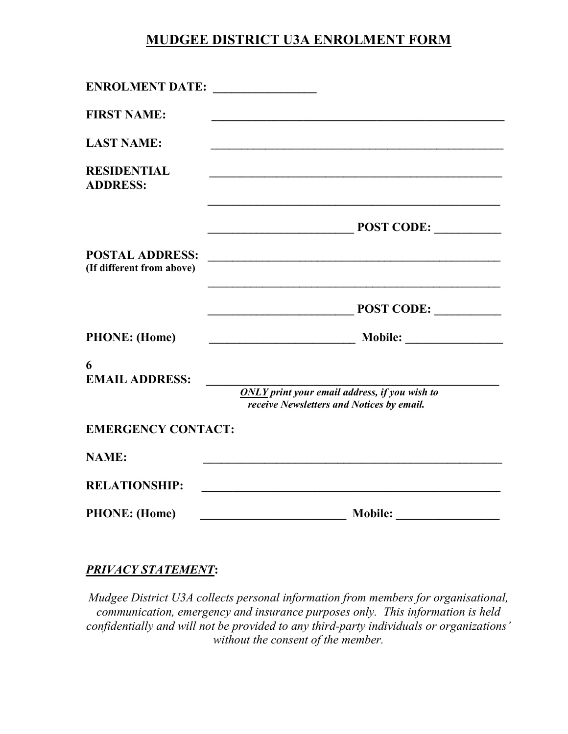## MUDGEE DISTRICT U3A ENROLMENT FORM

| ENROLMENT DATE:                                     |                                                                                              |
|-----------------------------------------------------|----------------------------------------------------------------------------------------------|
| <b>FIRST NAME:</b>                                  |                                                                                              |
| <b>LAST NAME:</b>                                   |                                                                                              |
| <b>RESIDENTIAL</b><br><b>ADDRESS:</b>               | <u> 1989 - Johann John Stone, market fan de Amerikaanske kommunister (* 1950)</u>            |
|                                                     | POST CODE:<br><u> 1989 - Johann John Stone, mensk politik (d. 1989)</u>                      |
| <b>POSTAL ADDRESS:</b><br>(If different from above) |                                                                                              |
|                                                     | POST CODE:                                                                                   |
| <b>PHONE:</b> (Home)                                |                                                                                              |
| 6<br><b>EMAIL ADDRESS:</b>                          | $ONLY$ print your email address, if you wish to<br>receive Newsletters and Notices by email. |
| <b>EMERGENCY CONTACT:</b>                           |                                                                                              |
| <b>NAME:</b>                                        |                                                                                              |
| <b>RELATIONSHIP:</b>                                | <u> 1980 - Jan Barnett, margaret eta idazlear (h. 1980).</u>                                 |
| <b>PHONE:</b> (Home)                                | Mobile: <u>Mobile:</u>                                                                       |

#### PRIVACY STATEMENT:

Mudgee District U3A collects personal information from members for organisational, communication, emergency and insurance purposes only. This information is held confidentially and will not be provided to any third-party individuals or organizations' without the consent of the member.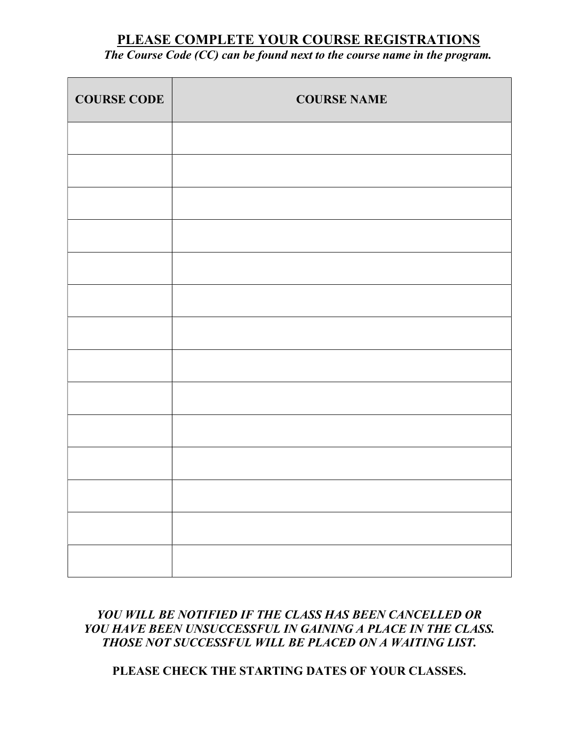## PLEASE COMPLETE YOUR COURSE REGISTRATIONS

## The Course Code (CC) can be found next to the course name in the program.

| <b>COURSE CODE</b> | <b>COURSE NAME</b> |
|--------------------|--------------------|
|                    |                    |
|                    |                    |
|                    |                    |
|                    |                    |
|                    |                    |
|                    |                    |
|                    |                    |
|                    |                    |
|                    |                    |
|                    |                    |
|                    |                    |
|                    |                    |
|                    |                    |
|                    |                    |

## YOU WILL BE NOTIFIED IF THE CLASS HAS BEEN CANCELLED OR YOU HAVE BEEN UNSUCCESSFUL IN GAINING A PLACE IN THE CLASS. THOSE NOT SUCCESSFUL WILL BE PLACED ON A WAITING LIST.

## PLEASE CHECK THE STARTING DATES OF YOUR CLASSES.